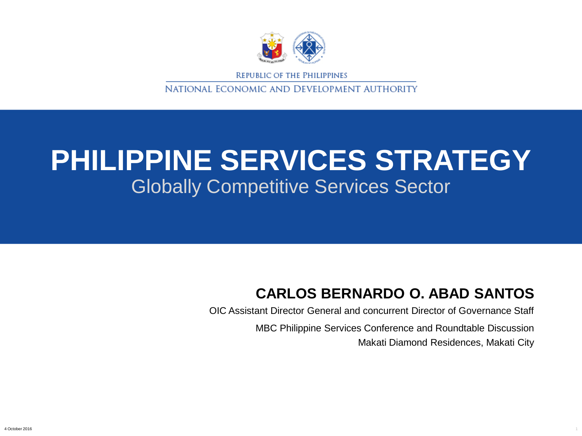

REPUBLIC OF THE PHILIPPINES

NATIONAL ECONOMIC AND DEVELOPMENT AUTHORITY

#### Globally Competitive Services Sector **PHILIPPINE SERVICES STRATEGY**

#### **CARLOS BERNARDO O. ABAD SANTOS**

OIC Assistant Director General and concurrent Director of Governance Staff

MBC Philippine Services Conference and Roundtable Discussion Makati Diamond Residences, Makati City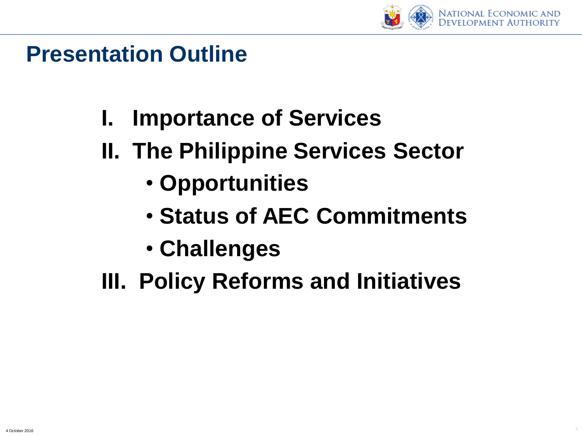

#### **Presentation Outline**

- **I. Importance of Services**
- **II. The Philippine Services Sector**
	- **Opportunities**
	- **Status of AEC Commitments**
	- **Challenges**
- **III. Policy Reforms and Initiatives**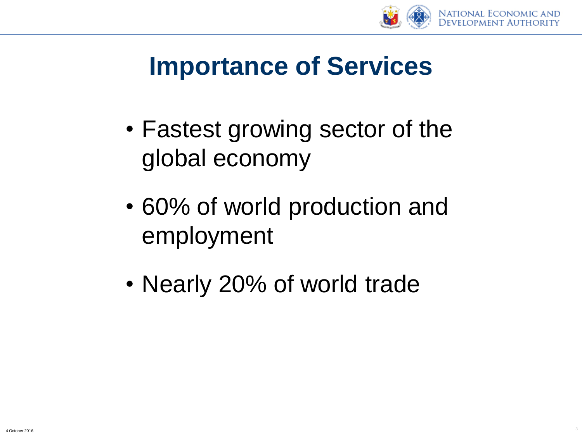

### **Importance of Services**

- Fastest growing sector of the global economy
- 60% of world production and employment
- Nearly 20% of world trade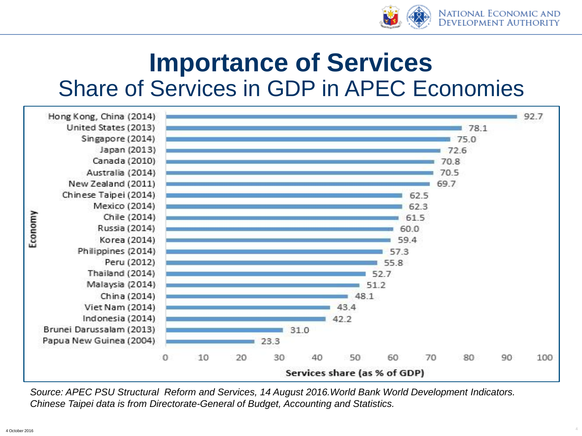

4

#### Share of Services in GDP in APEC Economies **Importance of Services**



*Source: APEC PSU Structural Reform and Services, 14 August 2016.World Bank World Development Indicators. Chinese Taipei data is from Directorate-General of Budget, Accounting and Statistics.*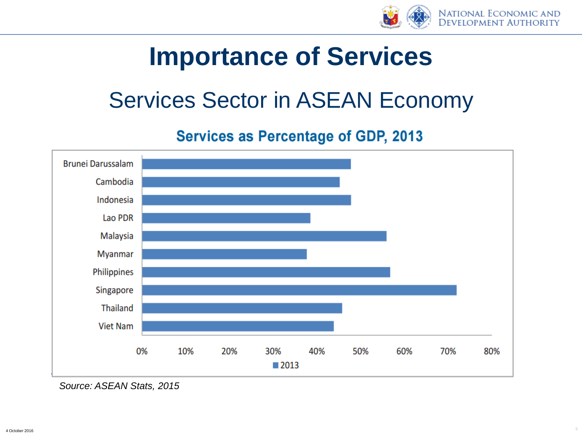

#### **Importance of Services**

#### Services Sector in ASEAN Economy

#### **Services as Percentage of GDP, 2013**



*Source: ASEAN Stats, 2015*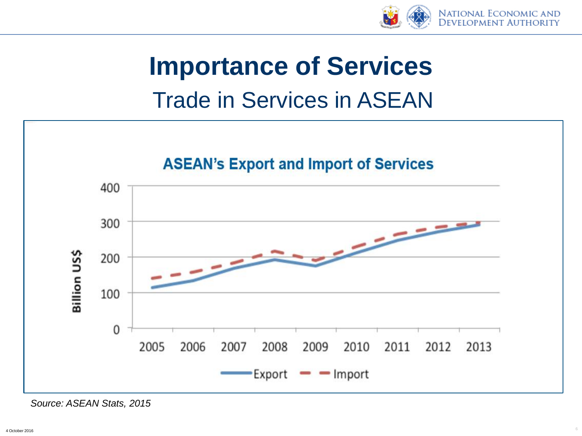

## Trade in Services in ASEAN **Importance of Services**



*Source: ASEAN Stats, 2015*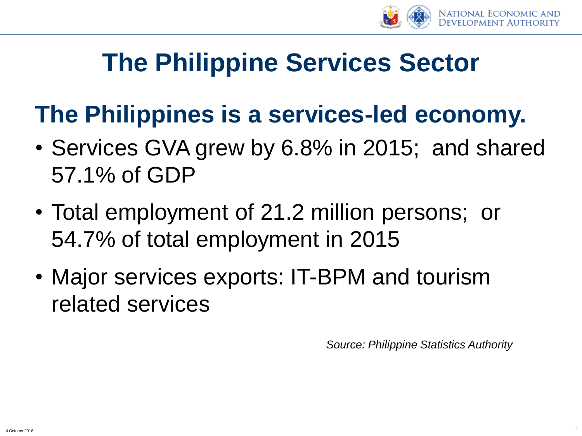

### **The Philippines is a services-led economy.**

- Services GVA grew by 6.8% in 2015; and shared 57.1% of GDP
- Total employment of 21.2 million persons; or 54.7% of total employment in 2015
- Major services exports: IT-BPM and tourism related services

*Source: Philippine Statistics Authority*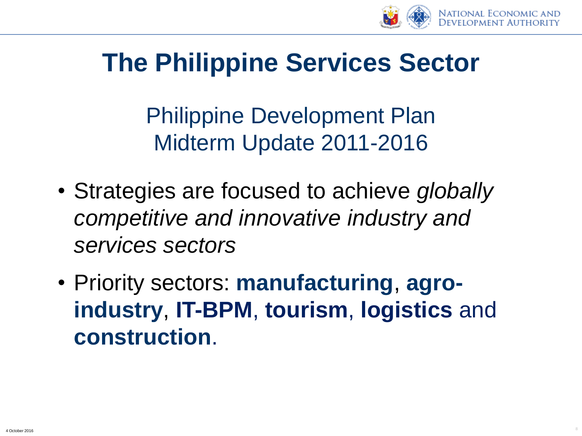

Philippine Development Plan Midterm Update 2011-2016

- Strategies are focused to achieve *globally competitive and innovative industry and services sectors*
- Priority sectors: **manufacturing**, **agroindustry**, **IT-BPM**, **tourism**, **logistics** and **construction**.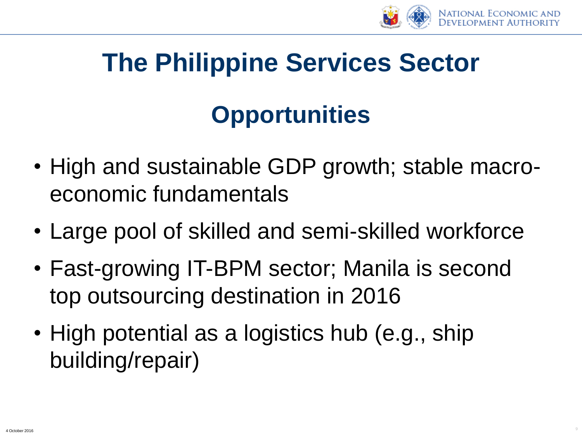

# **Opportunities**

- High and sustainable GDP growth; stable macroeconomic fundamentals
- Large pool of skilled and semi-skilled workforce
- Fast-growing IT-BPM sector; Manila is second top outsourcing destination in 2016
- High potential as a logistics hub (e.g., ship building/repair)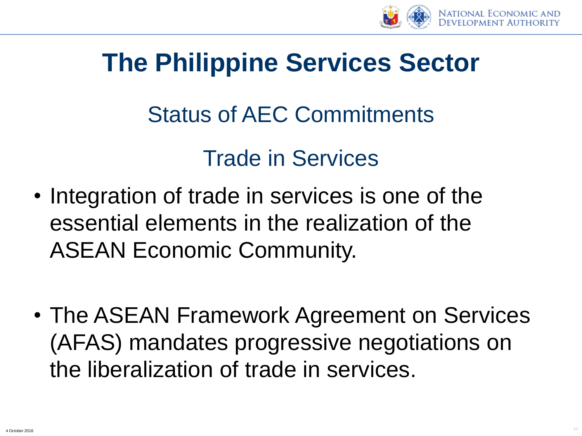

#### Status of AEC Commitments

#### Trade in Services

- Integration of trade in services is one of the essential elements in the realization of the ASEAN Economic Community.
- The ASEAN Framework Agreement on Services (AFAS) mandates progressive negotiations on the liberalization of trade in services.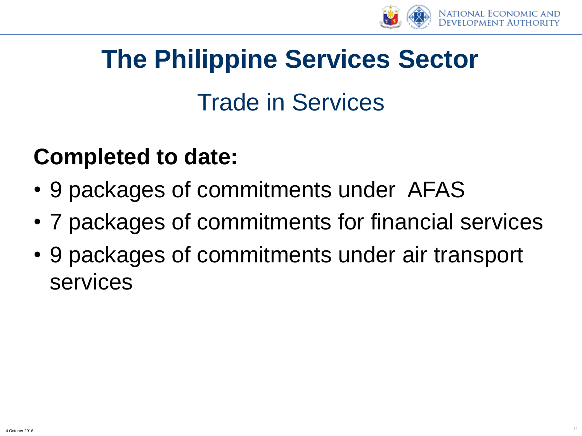

### Trade in Services

#### **Completed to date:**

- 9 packages of commitments under AFAS
- 7 packages of commitments for financial services
- 9 packages of commitments under air transport services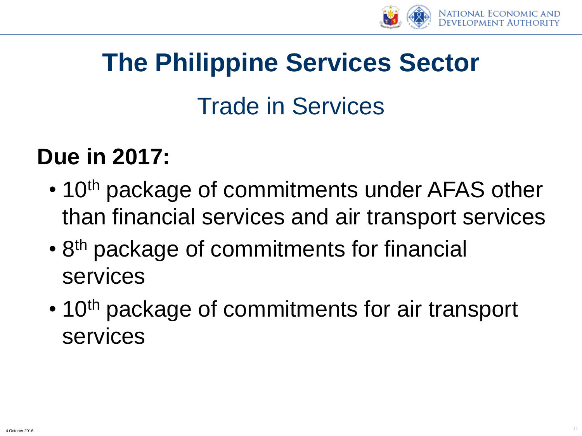

## Trade in Services

#### **Due in 2017:**

- 10<sup>th</sup> package of commitments under AFAS other than financial services and air transport services
- 8<sup>th</sup> package of commitments for financial services
- 10<sup>th</sup> package of commitments for air transport services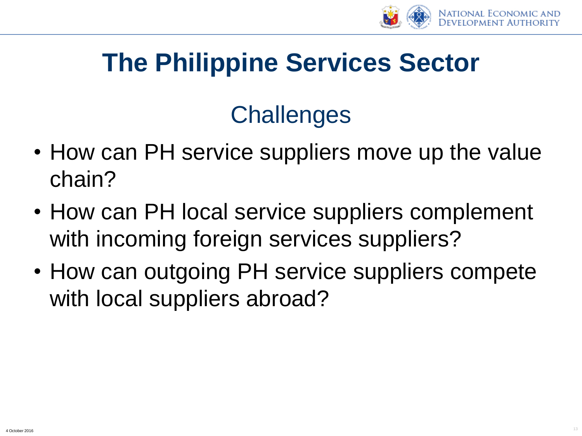

### **Challenges**

- How can PH service suppliers move up the value chain?
- How can PH local service suppliers complement with incoming foreign services suppliers?
- How can outgoing PH service suppliers compete with local suppliers abroad?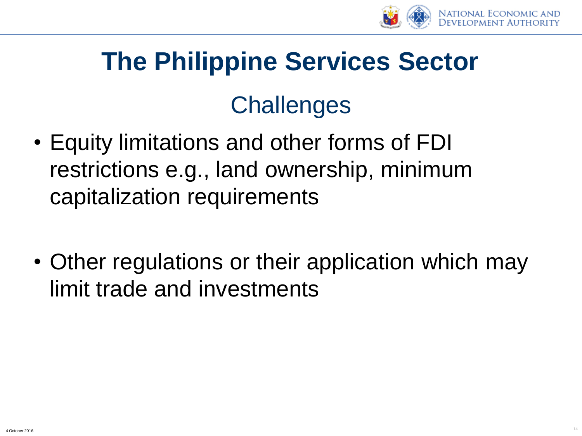

#### **Challenges**

- Equity limitations and other forms of FDI restrictions e.g., land ownership, minimum capitalization requirements
- Other regulations or their application which may limit trade and investments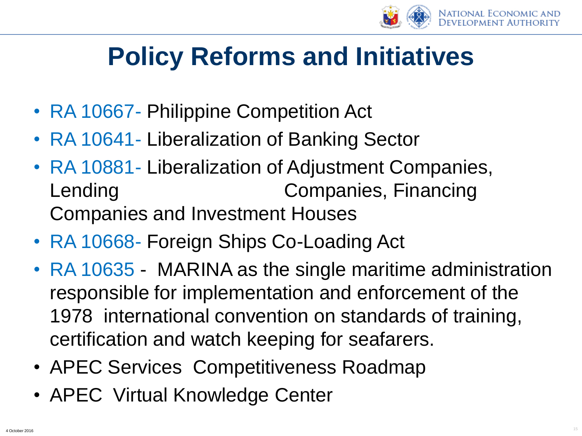

## **Policy Reforms and Initiatives**

- RA 10667- Philippine Competition Act
- RA 10641- Liberalization of Banking Sector
- RA 10881 Liberalization of Adjustment Companies, Lending Companies, Financing Companies and Investment Houses
- RA 10668- Foreign Ships Co-Loading Act
- RA 10635 MARINA as the single maritime administration responsible for implementation and enforcement of the 1978 international convention on standards of training, certification and watch keeping for seafarers.
- APEC Services Competitiveness Roadmap
- APEC Virtual Knowledge Center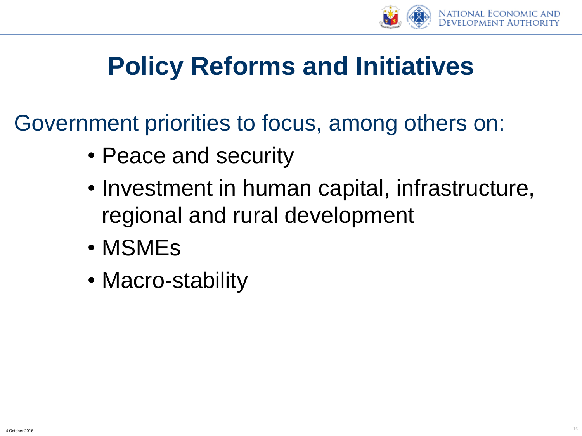

## **Policy Reforms and Initiatives**

Government priorities to focus, among others on:

- Peace and security
- Investment in human capital, infrastructure, regional and rural development
- MSMEs
- Macro-stability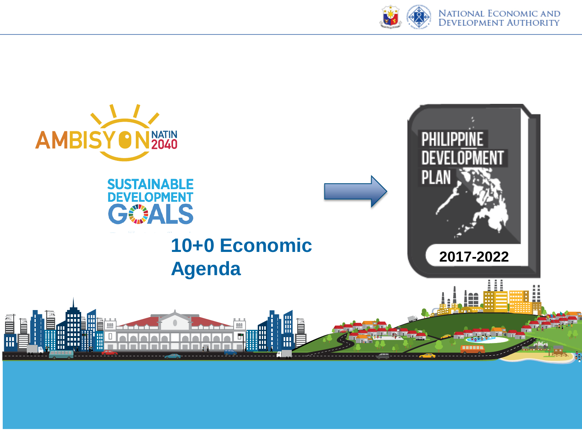

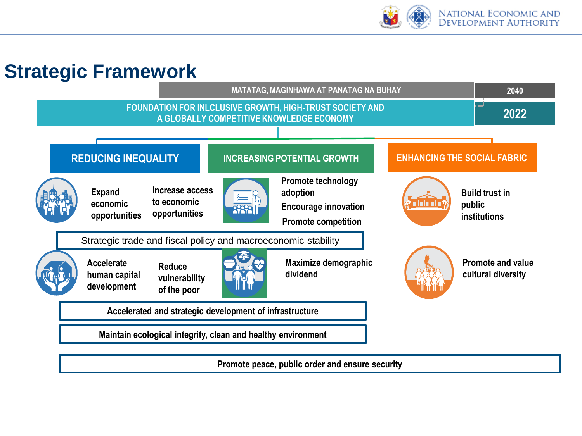

#### **Strategic Framework**



**Promote peace, public order and ensure security**